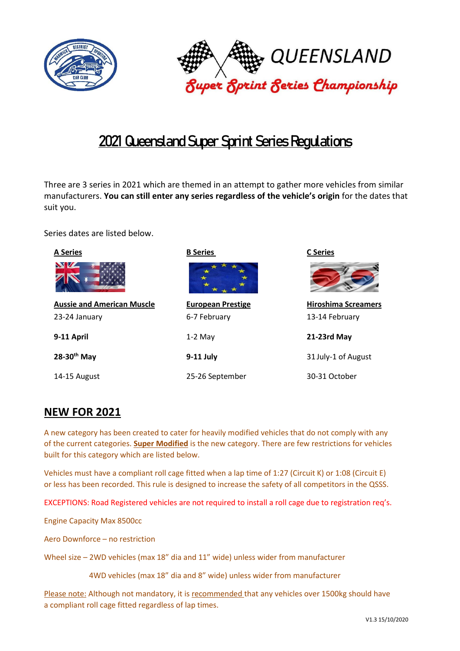



# **2021Queensland Super Sprint Series Regulations**

Three are 3 series in 2021 which are themed in an attempt to gather more vehicles from similar manufacturers. **You can still enter any series regardless of the vehicle's origin** for the dates that suit you.

Series dates are listed below.



# **NEW FOR 2021**

A new category has been created to cater for heavily modified vehicles that do not comply with any of the current categories. **Super Modified** is the new category. There are few restrictions for vehicles built for this category which are listed below.

Vehicles must have a compliant roll cage fitted when a lap time of 1:27 (Circuit K) or 1:08 (Circuit E) or less has been recorded. This rule is designed to increase the safety of all competitors in the QSSS.

EXCEPTIONS: Road Registered vehicles are not required to install a roll cage due to registration req's.

Engine Capacity Max 8500cc

Aero Downforce – no restriction

Wheel size – 2WD vehicles (max 18" dia and 11" wide) unless wider from manufacturer

4WD vehicles (max 18" dia and 8" wide) unless wider from manufacturer

Please note: Although not mandatory, it is recommended that any vehicles over 1500kg should have a compliant roll cage fitted regardless of lap times.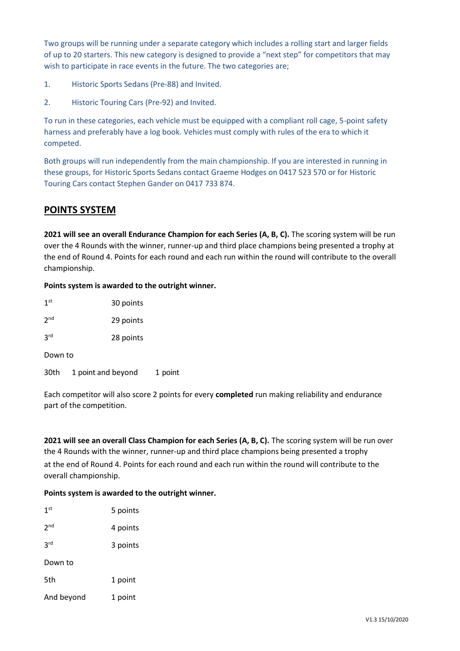Two groups will be running under a separate category which includes a rolling start and larger fields of up to 20 starters. This new category is designed to provide a "next step" for competitors that may wish to participate in race events in the future. The two categories are;

- 1. Historic Sports Sedans (Pre-88) and Invited.
- 2. Historic Touring Cars (Pre-92) and Invited.

To run in these categories, each vehicle must be equipped with a compliant roll cage, 5-point safety harness and preferably have a log book. Vehicles must comply with rules of the era to which it competed.

Both groups will run independently from the main championship. If you are interested in running in these groups, for Historic Sports Sedans contact Graeme Hodges on 0417 523 570 or for Historic Touring Cars contact Stephen Gander on 0417 733 874.

# **POINTS SYSTEM**

**2021 will see an overall Endurance Champion for each Series (A, B, C).** The scoring system will be run over the 4 Rounds with the winner, runner-up and third place champions being presented a trophy at the end of Round 4. Points for each round and each run within the round will contribute to the overall championship.

### **Points system is awarded to the outright winner.**

| 1 <sup>st</sup> | 30 points          |         |  |  |
|-----------------|--------------------|---------|--|--|
| 2 <sup>nd</sup> | 29 points          |         |  |  |
| 3 <sup>rd</sup> | 28 points          |         |  |  |
| Down to         |                    |         |  |  |
| 30th            | 1 point and beyond | 1 point |  |  |

Each competitor will also score 2 points for every **completed** run making reliability and endurance part of the competition.

**2021 will see an overall Class Champion for each Series (A, B, C).** The scoring system will be run over the 4 Rounds with the winner, runner-up and third place champions being presented a trophy at the end of Round 4. Points for each round and each run within the round will contribute to the overall championship.

### **Points system is awarded to the outright winner.**

| 1 <sup>st</sup> | 5 points |
|-----------------|----------|
| 2 <sub>nd</sub> | 4 points |
| 3rd             | 3 points |
| Down to         |          |
| 5th             | 1 point  |
| And beyond      | 1 point  |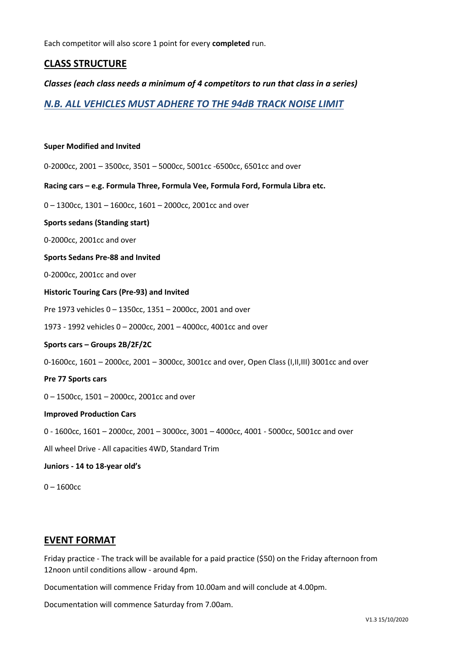Each competitor will also score 1 point for every **completed** run.

# **CLASS STRUCTURE**

### *Classes (each class needs a minimum of 4 competitors to run that class in a series)*

*N.B. ALL VEHICLES MUST ADHERE TO THE 94dB TRACK NOISE LIMIT*

#### **Super Modified and Invited**

0-2000cc, 2001 – 3500cc, 3501 – 5000cc, 5001cc -6500cc, 6501cc and over

**Racing cars – e.g. Formula Three, Formula Vee, Formula Ford, Formula Libra etc.**

0 – 1300cc, 1301 – 1600cc, 1601 – 2000cc, 2001cc and over

#### **Sports sedans (Standing start)**

0-2000cc, 2001cc and over

#### **Sports Sedans Pre-88 and Invited**

0-2000cc, 2001cc and over

#### **Historic Touring Cars (Pre-93) and Invited**

Pre 1973 vehicles 0 – 1350cc, 1351 – 2000cc, 2001 and over

1973 - 1992 vehicles 0 – 2000cc, 2001 – 4000cc, 4001cc and over

#### **Sports cars – Groups 2B/2F/2C**

0-1600cc, 1601 – 2000cc, 2001 – 3000cc, 3001cc and over, Open Class (I,II,III) 3001cc and over

#### **Pre 77 Sports cars**

0 – 1500cc, 1501 – 2000cc, 2001cc and over

#### **Improved Production Cars**

0 - 1600cc, 1601 – 2000cc, 2001 – 3000cc, 3001 – 4000cc, 4001 - 5000cc, 5001cc and over

All wheel Drive - All capacities 4WD, Standard Trim

#### **Juniors - 14 to 18-year old's**

0 – 1600cc

### **EVENT FORMAT**

Friday practice - The track will be available for a paid practice (\$50) on the Friday afternoon from 12noon until conditions allow - around 4pm.

Documentation will commence Friday from 10.00am and will conclude at 4.00pm.

Documentation will commence Saturday from 7.00am.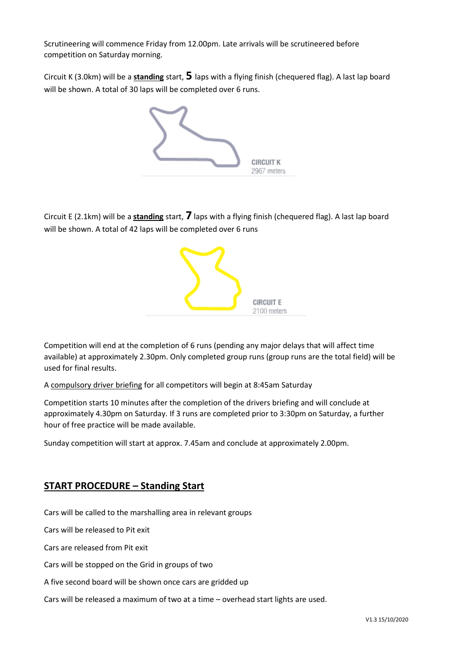Scrutineering will commence Friday from 12.00pm. Late arrivals will be scrutineered before competition on Saturday morning.

Circuit K (3.0km) will be a **standing** start, **5** laps with a flying finish (chequered flag). A last lap board will be shown. A total of 30 laps will be completed over 6 runs.



Circuit E (2.1km) will be a **standing** start, **7** laps with a flying finish (chequered flag). A last lap board will be shown. A total of 42 laps will be completed over 6 runs



Competition will end at the completion of 6 runs (pending any major delays that will affect time available) at approximately 2.30pm. Only completed group runs (group runs are the total field) will be used for final results.

A compulsory driver briefing for all competitors will begin at 8:45am Saturday

Competition starts 10 minutes after the completion of the drivers briefing and will conclude at approximately 4.30pm on Saturday. If 3 runs are completed prior to 3:30pm on Saturday, a further hour of free practice will be made available.

Sunday competition will start at approx. 7.45am and conclude at approximately 2.00pm.

# **START PROCEDURE – Standing Start**

Cars will be called to the marshalling area in relevant groups

Cars will be released to Pit exit

Cars are released from Pit exit

Cars will be stopped on the Grid in groups of two

A five second board will be shown once cars are gridded up

Cars will be released a maximum of two at a time – overhead start lights are used.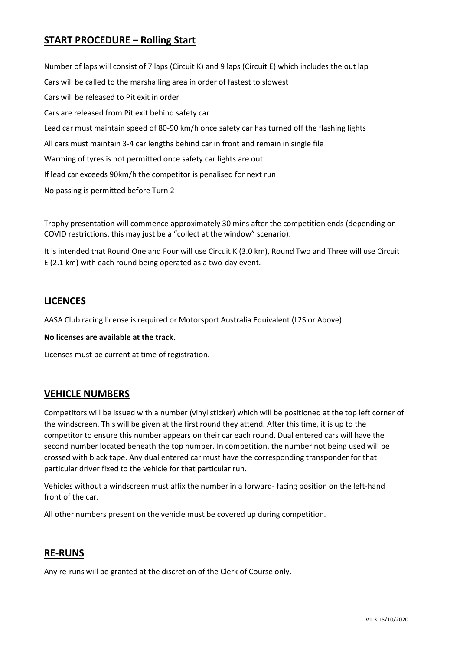# **START PROCEDURE – Rolling Start**

Number of laps will consist of 7 laps (Circuit K) and 9 laps (Circuit E) which includes the out lap Cars will be called to the marshalling area in order of fastest to slowest Cars will be released to Pit exit in order Cars are released from Pit exit behind safety car Lead car must maintain speed of 80-90 km/h once safety car has turned off the flashing lights All cars must maintain 3-4 car lengths behind car in front and remain in single file Warming of tyres is not permitted once safety car lights are out If lead car exceeds 90km/h the competitor is penalised for next run No passing is permitted before Turn 2

Trophy presentation will commence approximately 30 mins after the competition ends (depending on COVID restrictions, this may just be a "collect at the window" scenario).

It is intended that Round One and Four will use Circuit K (3.0 km), Round Two and Three will use Circuit E (2.1 km) with each round being operated as a two-day event.

### **LICENCES**

AASA Club racing license is required or Motorsport Australia Equivalent (L2S or Above).

**No licenses are available at the track.**

Licenses must be current at time of registration.

### **VEHICLE NUMBERS**

Competitors will be issued with a number (vinyl sticker) which will be positioned at the top left corner of the windscreen. This will be given at the first round they attend. After this time, it is up to the competitor to ensure this number appears on their car each round. Dual entered cars will have the second number located beneath the top number. In competition, the number not being used will be crossed with black tape. Any dual entered car must have the corresponding transponder for that particular driver fixed to the vehicle for that particular run.

Vehicles without a windscreen must affix the number in a forward- facing position on the left-hand front of the car.

All other numbers present on the vehicle must be covered up during competition.

### **RE-RUNS**

Any re-runs will be granted at the discretion of the Clerk of Course only.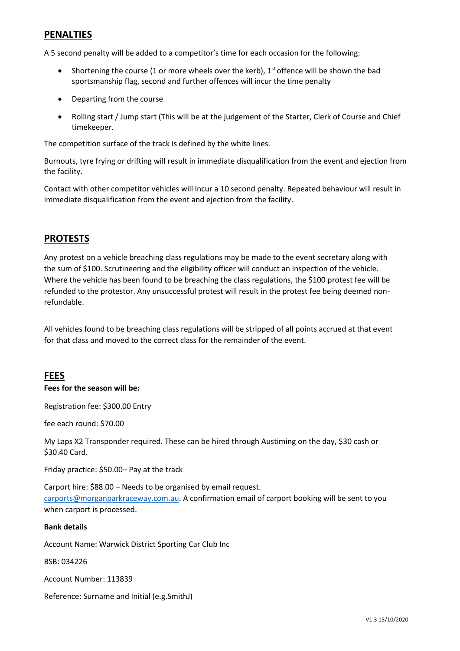# **PENALTIES**

A 5 second penalty will be added to a competitor's time for each occasion for the following:

- Shortening the course (1 or more wheels over the kerb),  $1<sup>st</sup>$  offence will be shown the bad sportsmanship flag, second and further offences will incur the time penalty
- Departing from the course
- Rolling start / Jump start (This will be at the judgement of the Starter, Clerk of Course and Chief timekeeper.

The competition surface of the track is defined by the white lines.

Burnouts, tyre frying or drifting will result in immediate disqualification from the event and ejection from the facility.

Contact with other competitor vehicles will incur a 10 second penalty. Repeated behaviour will result in immediate disqualification from the event and ejection from the facility.

# **PROTESTS**

Any protest on a vehicle breaching class regulations may be made to the event secretary along with the sum of \$100. Scrutineering and the eligibility officer will conduct an inspection of the vehicle. Where the vehicle has been found to be breaching the class regulations, the \$100 protest fee will be refunded to the protestor. Any unsuccessful protest will result in the protest fee being deemed nonrefundable.

All vehicles found to be breaching class regulations will be stripped of all points accrued at that event for that class and moved to the correct class for the remainder of the event.

# **FEES**

### **Fees for the season will be:**

Registration fee: \$300.00 Entry

fee each round: \$70.00

My Laps X2 Transponder required. These can be hired through Austiming on the day, \$30 cash or \$30.40 Card.

Friday practice: \$50.00– Pay at the track

Carport hire: \$88.00 – Needs to be organised by email request. [carports@morganparkraceway.com.au. A](mailto:carports@morganparkraceway.com.au) confirmation email of carport booking will be sent to you when carport is processed.

### **Bank details**

Account Name: Warwick District Sporting Car Club Inc

BSB: 034226

Account Number: 113839

Reference: Surname and Initial (e.g.SmithJ)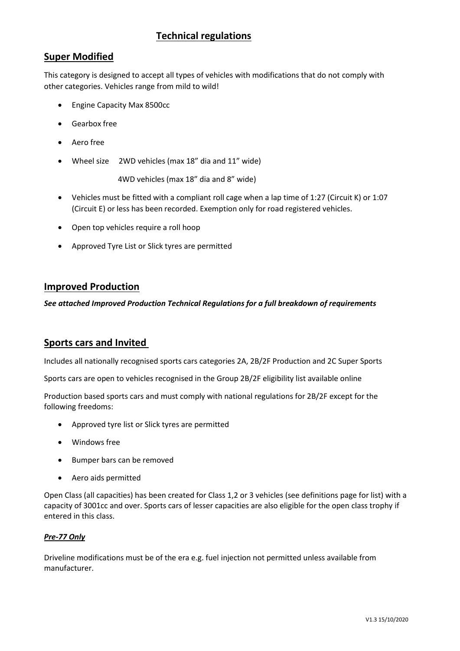# **Technical regulations**

# **Super Modified**

This category is designed to accept all types of vehicles with modifications that do not comply with other categories. Vehicles range from mild to wild!

- Engine Capacity Max 8500cc
- Gearbox free
- Aero free
- Wheel size 2WD vehicles (max 18" dia and 11" wide)

4WD vehicles (max 18" dia and 8" wide)

- Vehicles must be fitted with a compliant roll cage when a lap time of 1:27 (Circuit K) or 1:07 (Circuit E) or less has been recorded. Exemption only for road registered vehicles.
- Open top vehicles require a roll hoop
- Approved Tyre List or Slick tyres are permitted

### **Improved Production**

*See attached Improved Production Technical Regulations for a full breakdown of requirements*

# **Sports cars and Invited**

Includes all nationally recognised sports cars categories 2A, 2B/2F Production and 2C Super Sports

Sports cars are open to vehicles recognised in the Group 2B/2F eligibility list available online

Production based sports cars and must comply with national regulations for 2B/2F except for the following freedoms:

- Approved tyre list or Slick tyres are permitted
- Windows free
- Bumper bars can be removed
- Aero aids permitted

Open Class (all capacities) has been created for Class 1,2 or 3 vehicles (see definitions page for list) with a capacity of 3001cc and over. Sports cars of lesser capacities are also eligible for the open class trophy if entered in this class.

### *Pre-77 Only*

Driveline modifications must be of the era e.g. fuel injection not permitted unless available from manufacturer.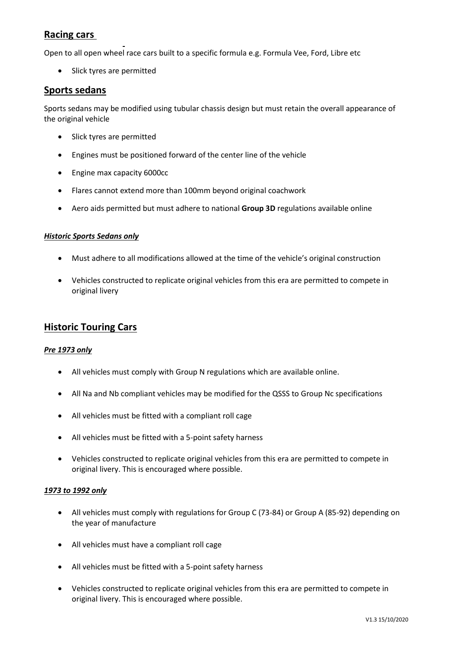# **Racing cars**

Open to all open wheel race cars built to a specific formula e.g. Formula Vee, Ford, Libre etc

• Slick tyres are permitted

### **Sports sedans**

Sports sedans may be modified using tubular chassis design but must retain the overall appearance of the original vehicle

- Slick tyres are permitted
- Engines must be positioned forward of the center line of the vehicle
- Engine max capacity 6000cc
- Flares cannot extend more than 100mm beyond original coachwork
- Aero aids permitted but must adhere to national **Group 3D** regulations available online

### *Historic Sports Sedans only*

- Must adhere to all modifications allowed at the time of the vehicle's original construction
- Vehicles constructed to replicate original vehicles from this era are permitted to compete in original livery

### **Historic Touring Cars**

### *Pre 1973 only*

- All vehicles must comply with Group N regulations which are available online.
- All Na and Nb compliant vehicles may be modified for the QSSS to Group Nc specifications
- All vehicles must be fitted with a compliant roll cage
- All vehicles must be fitted with a 5-point safety harness
- Vehicles constructed to replicate original vehicles from this era are permitted to compete in original livery. This is encouraged where possible.

### *1973 to 1992 only*

- All vehicles must comply with regulations for Group C (73-84) or Group A (85-92) depending on the year of manufacture
- All vehicles must have a compliant roll cage
- All vehicles must be fitted with a 5-point safety harness
- Vehicles constructed to replicate original vehicles from this era are permitted to compete in original livery. This is encouraged where possible.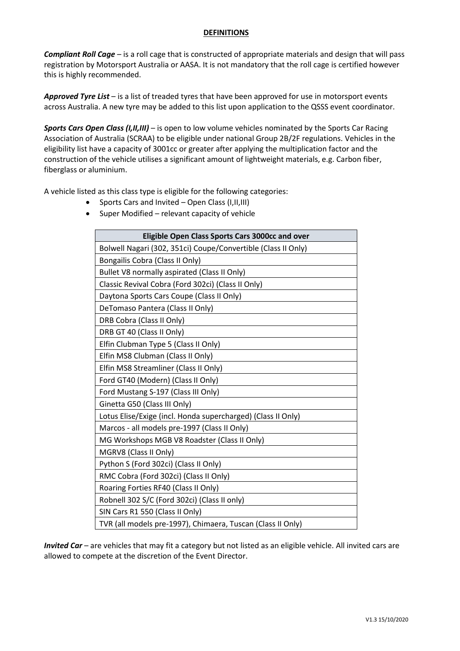### **DEFINITIONS**

*Compliant Roll Cage* – is a roll cage that is constructed of appropriate materials and design that will pass registration by Motorsport Australia or AASA. It is not mandatory that the roll cage is certified however this is highly recommended.

*Approved Tyre List* – is a list of treaded tyres that have been approved for use in motorsport events across Australia. A new tyre may be added to this list upon application to the QSSS event coordinator.

*Sports Cars Open Class (I,II,III)* – is open to low volume vehicles nominated by the Sports Car Racing Association of Australia (SCRAA) to be eligible under national Group 2B/2F regulations. Vehicles in the eligibility list have a capacity of 3001cc or greater after applying the multiplication factor and the construction of the vehicle utilises a significant amount of lightweight materials, e.g. Carbon fiber, fiberglass or aluminium.

A vehicle listed as this class type is eligible for the following categories:

- Sports Cars and Invited Open Class (I,II,III)
- Super Modified relevant capacity of vehicle

| Eligible Open Class Sports Cars 3000cc and over               |  |  |
|---------------------------------------------------------------|--|--|
| Bolwell Nagari (302, 351ci) Coupe/Convertible (Class II Only) |  |  |
| Bongailis Cobra (Class II Only)                               |  |  |
| Bullet V8 normally aspirated (Class II Only)                  |  |  |
| Classic Revival Cobra (Ford 302ci) (Class II Only)            |  |  |
| Daytona Sports Cars Coupe (Class II Only)                     |  |  |
| DeTomaso Pantera (Class II Only)                              |  |  |
| DRB Cobra (Class II Only)                                     |  |  |
| DRB GT 40 (Class II Only)                                     |  |  |
| Elfin Clubman Type 5 (Class II Only)                          |  |  |
| Elfin MS8 Clubman (Class II Only)                             |  |  |
| Elfin MS8 Streamliner (Class II Only)                         |  |  |
| Ford GT40 (Modern) (Class II Only)                            |  |  |
| Ford Mustang S-197 (Class III Only)                           |  |  |
| Ginetta G50 (Class III Only)                                  |  |  |
| Lotus Elise/Exige (incl. Honda supercharged) (Class II Only)  |  |  |
| Marcos - all models pre-1997 (Class II Only)                  |  |  |
| MG Workshops MGB V8 Roadster (Class II Only)                  |  |  |
| MGRV8 (Class II Only)                                         |  |  |
| Python S (Ford 302ci) (Class II Only)                         |  |  |
| RMC Cobra (Ford 302ci) (Class II Only)                        |  |  |
| Roaring Forties RF40 (Class II Only)                          |  |  |
| Robnell 302 S/C (Ford 302ci) (Class II only)                  |  |  |
| SIN Cars R1 550 (Class II Only)                               |  |  |
| TVR (all models pre-1997), Chimaera, Tuscan (Class II Only)   |  |  |

*Invited Car* – are vehicles that may fit a category but not listed as an eligible vehicle. All invited cars are allowed to compete at the discretion of the Event Director.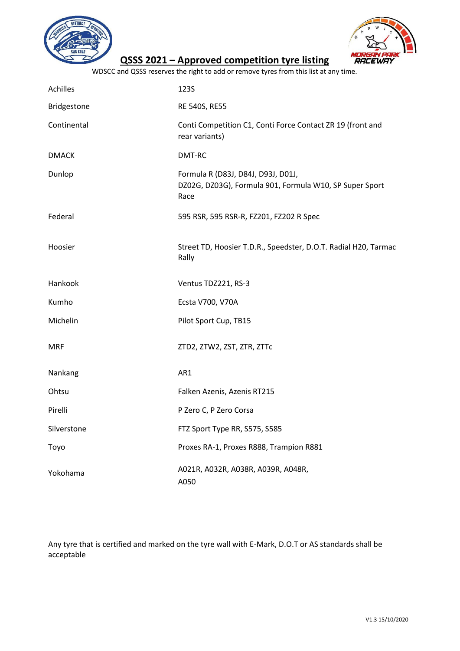



# **QSSS 2021 – Approved competition tyre listing**

WDSCC and QSSS reserves the right to add or remove tyres from this list at any time.

| Achilles     | <b>123S</b>                                                                                           |
|--------------|-------------------------------------------------------------------------------------------------------|
| Bridgestone  | RE 540S, RE55                                                                                         |
| Continental  | Conti Competition C1, Conti Force Contact ZR 19 (front and<br>rear variants)                          |
| <b>DMACK</b> | DMT-RC                                                                                                |
| Dunlop       | Formula R (D83J, D84J, D93J, D01J,<br>DZ02G, DZ03G), Formula 901, Formula W10, SP Super Sport<br>Race |
| Federal      | 595 RSR, 595 RSR-R, FZ201, FZ202 R Spec                                                               |
| Hoosier      | Street TD, Hoosier T.D.R., Speedster, D.O.T. Radial H20, Tarmac<br>Rally                              |
| Hankook      | Ventus TDZ221, RS-3                                                                                   |
| Kumho        | Ecsta V700, V70A                                                                                      |
| Michelin     | Pilot Sport Cup, TB15                                                                                 |
| <b>MRF</b>   | ZTD2, ZTW2, ZST, ZTR, ZTTc                                                                            |
| Nankang      | AR1                                                                                                   |
| Ohtsu        | Falken Azenis, Azenis RT215                                                                           |
| Pirelli      | P Zero C, P Zero Corsa                                                                                |
| Silverstone  | FTZ Sport Type RR, S575, S585                                                                         |
| Toyo         | Proxes RA-1, Proxes R888, Trampion R881                                                               |
| Yokohama     | A021R, A032R, A038R, A039R, A048R,<br>A050                                                            |

Any tyre that is certified and marked on the tyre wall with E-Mark, D.O.T or AS standards shall be acceptable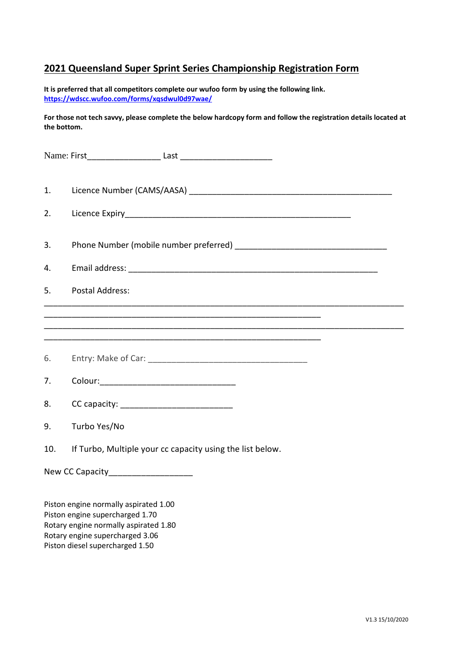# **2021 Queensland Super Sprint Series Championship Registration Form**

**It is preferred that all competitors complete our wufoo form by using the following link. <https://wdscc.wufoo.com/forms/xqsdwul0d97wae/>**

**For those not tech savvy, please complete the below hardcopy form and follow the registration details located at the bottom.**

| 1.  |                                                           |
|-----|-----------------------------------------------------------|
| 2.  |                                                           |
| 3.  |                                                           |
| 4.  |                                                           |
| 5.  | <b>Postal Address:</b>                                    |
|     |                                                           |
| 6.  |                                                           |
|     |                                                           |
| 7.  |                                                           |
| 8.  |                                                           |
| 9.  | Turbo Yes/No                                              |
| 10. | If Turbo, Multiple your cc capacity using the list below. |
|     | New CC Capacity____________________                       |
|     | Piston engine normally aspirated 1.00                     |

Piston engine supercharged 1.70 Rotary engine normally aspirated 1.80 Rotary engine supercharged 3.06 Piston diesel supercharged 1.50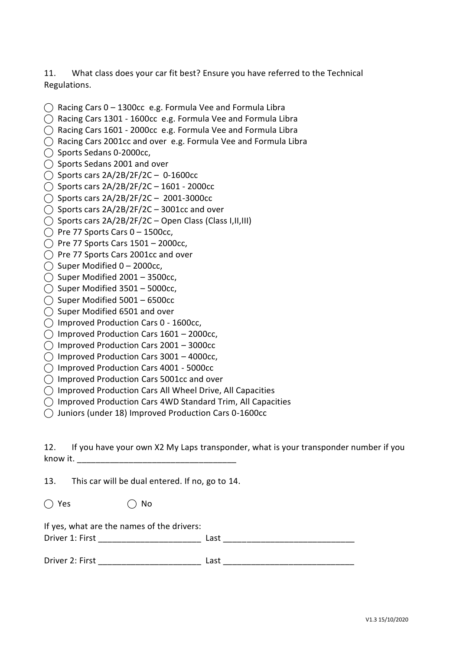11. What class does your car fit best? Ensure you have referred to the Technical Regulations.

- $\bigcap$  Racing Cars 0 1300cc e.g. Formula Vee and Formula Libra
- ⃝ Racing Cars 1301 1600cc e.g. Formula Vee and Formula Libra
- ⃝ Racing Cars 1601 2000cc e.g. Formula Vee and Formula Libra
- $\bigcirc$  Racing Cars 2001cc and over e.g. Formula Vee and Formula Libra
- ⃝ Sports Sedans 0-2000cc,
- ◯ Sports Sedans 2001 and over
- $\bigcirc$  Sports cars 2A/2B/2F/2C 0-1600cc
- ◯ Sports cars  $2A/2B/2F/2C 1601 2000cc$
- ◯ Sports cars 2A/2B/2F/2C 2001-3000cc
- $\bigcirc$  Sports cars 2A/2B/2F/2C 3001cc and over
- ⃝ Sports cars 2A/2B/2F/2C Open Class (Class I,II,III)
- $\bigcap$  Pre 77 Sports Cars 0 1500cc,
- $\bigcirc$  Pre 77 Sports Cars 1501 2000cc,
- ◯ Pre 77 Sports Cars 2001cc and over
- $\bigcirc$  Super Modified 0 2000cc,
- $\bigcirc$  Super Modified 2001 3500cc,
- $\bigcirc$  Super Modified 3501 5000cc,
- $\bigcirc$  Super Modified 5001 6500cc
- $\bigcap$  Super Modified 6501 and over
- ⃝ Improved Production Cars 0 1600cc,
- $\bigcirc$  Improved Production Cars 1601 2000cc,
- $\bigcap$  Improved Production Cars 2001 3000cc
- $\bigcirc$  Improved Production Cars 3001 4000cc,
- ⃝ Improved Production Cars 4001 5000cc
- $\bigcap$  Improved Production Cars 5001cc and over
- ⃝ Improved Production Cars All Wheel Drive, All Capacities
- ⃝ Improved Production Cars 4WD Standard Trim, All Capacities
- $\bigcap$  Juniors (under 18) Improved Production Cars 0-1600cc

12. If you have your own X2 My Laps transponder, what is your transponder number if you know it.

13. This car will be dual entered. If no, go to 14.

| $\bigcirc$ Yes | $\bigcirc$ No |
|----------------|---------------|
|                |               |

If yes, what are the names of the drivers:

| Driver 1: First |
|-----------------|
|-----------------|

| Driver 2:<br><b>Circt</b> |  |  |
|---------------------------|--|--|
|                           |  |  |